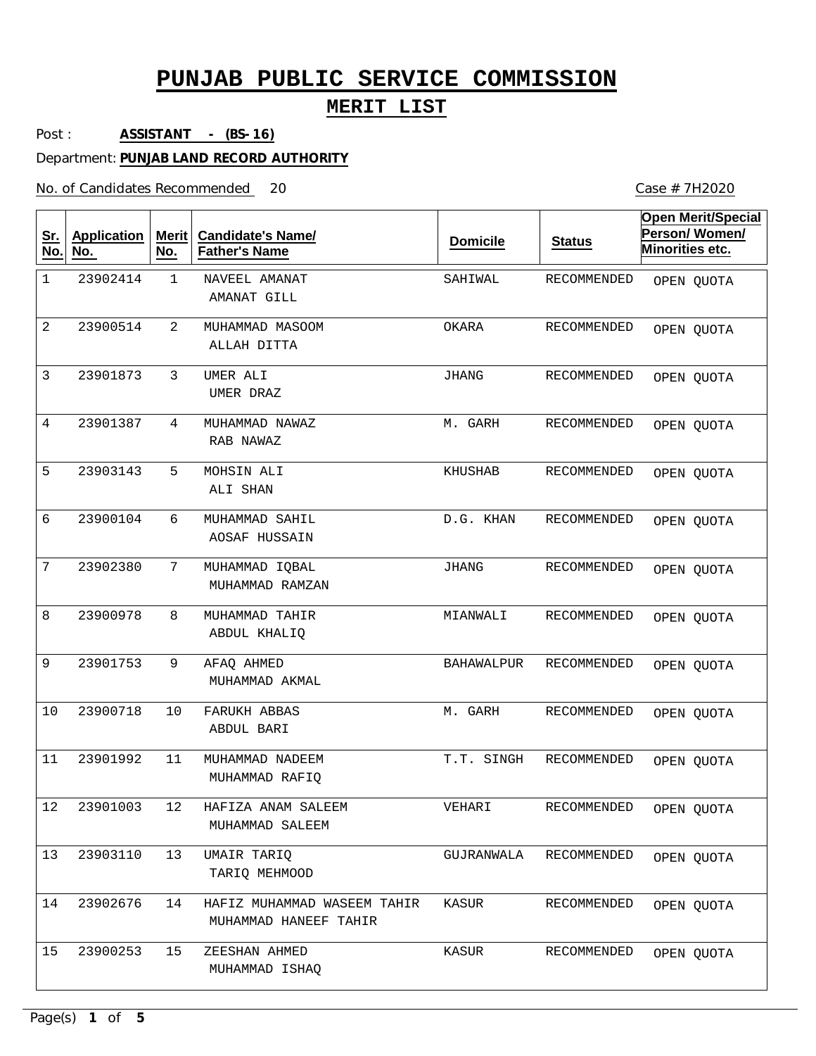## **MERIT LIST**

Case # 7H2020

Post : **ASSISTANT - (BS-16)**

Department: **PUNJAB LAND RECORD AUTHORITY**

No. of Candidates Recommended

| <u>Sr.</u><br>No. | <b>Application</b><br>No. | <b>Merit</b><br>No. | <b>Candidate's Name/</b><br><b>Father's Name</b>     | <b>Domicile</b>   | <b>Status</b>      | <b>Open Merit/Special</b><br>Person/Women/<br>Minorities etc. |
|-------------------|---------------------------|---------------------|------------------------------------------------------|-------------------|--------------------|---------------------------------------------------------------|
| $\mathbf 1$       | 23902414                  | 1                   | NAVEEL AMANAT<br>AMANAT GILL                         | SAHIWAL           | RECOMMENDED        | OPEN QUOTA                                                    |
| 2                 | 23900514                  | 2                   | MUHAMMAD MASOOM<br>ALLAH DITTA                       | OKARA             | RECOMMENDED        | OPEN QUOTA                                                    |
| 3                 | 23901873                  | 3                   | UMER ALI<br>UMER DRAZ                                | <b>JHANG</b>      | RECOMMENDED        | OPEN QUOTA                                                    |
| $\overline{4}$    | 23901387                  | 4                   | MUHAMMAD NAWAZ<br>RAB NAWAZ                          | M. GARH           | RECOMMENDED        | OPEN QUOTA                                                    |
| 5                 | 23903143                  | 5                   | MOHSIN ALI<br>ALI SHAN                               | KHUSHAB           | RECOMMENDED        | OPEN QUOTA                                                    |
| 6                 | 23900104                  | 6                   | MUHAMMAD SAHIL<br>AOSAF HUSSAIN                      | D.G. KHAN         | <b>RECOMMENDED</b> | OPEN QUOTA                                                    |
| 7                 | 23902380                  | 7                   | MUHAMMAD IQBAL<br>MUHAMMAD RAMZAN                    | <b>JHANG</b>      | RECOMMENDED        | OPEN QUOTA                                                    |
| 8                 | 23900978                  | 8                   | MUHAMMAD TAHIR<br>ABDUL KHALIQ                       | MIANWALI          | RECOMMENDED        | OPEN QUOTA                                                    |
| 9                 | 23901753                  | 9                   | AFAQ AHMED<br>MUHAMMAD AKMAL                         | <b>BAHAWALPUR</b> | <b>RECOMMENDED</b> | OPEN QUOTA                                                    |
| 10                | 23900718                  | 10                  | <b>FARUKH ABBAS</b><br>ABDUL BARI                    | M. GARH           | RECOMMENDED        | OPEN QUOTA                                                    |
| 11                | 23901992                  | 11                  | MUHAMMAD NADEEM<br>MUHAMMAD RAFIQ                    | T.T. SINGH        | <b>RECOMMENDED</b> | OPEN QUOTA                                                    |
| $12$              | 23901003                  | 12                  | HAFIZA ANAM SALEEM<br>MUHAMMAD SALEEM                | VEHARI            | RECOMMENDED        | OPEN QUOTA                                                    |
| 13                | 23903110                  | 13                  | UMAIR TARIQ<br>TARIO MEHMOOD                         | GUJRANWALA        | RECOMMENDED        | OPEN QUOTA                                                    |
| 14                | 23902676                  | 14                  | HAFIZ MUHAMMAD WASEEM TAHIR<br>MUHAMMAD HANEEF TAHIR | KASUR             | RECOMMENDED        | OPEN QUOTA                                                    |
| 15                | 23900253                  | 15                  | ZEESHAN AHMED<br>MUHAMMAD ISHAO                      | KASUR             | RECOMMENDED        | OPEN QUOTA                                                    |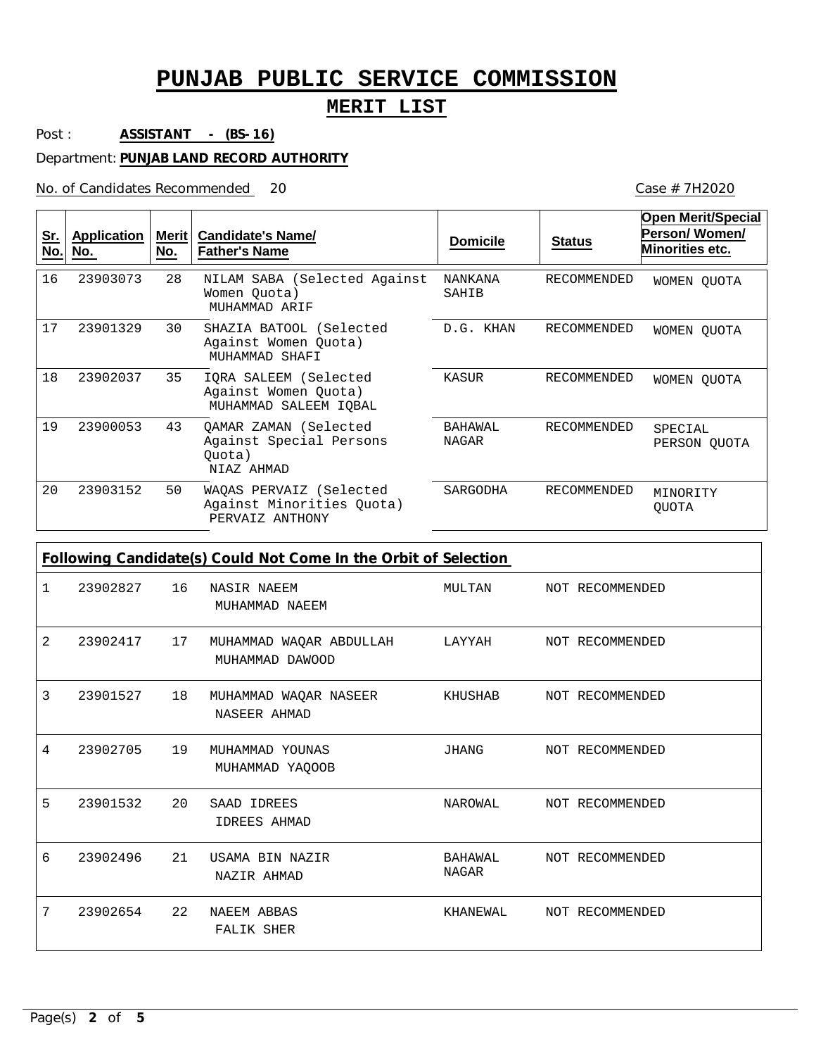#### **MERIT LIST**

20 Case # 7H2020

Post : **ASSISTANT - (BS-16)**

Department: **PUNJAB LAND RECORD AUTHORITY**

No. of Candidates Recommended

| Sr.<br>No.                                                      | <b>Application</b><br>No. | Merit<br>No. | <b>Candidate's Name/</b><br><b>Father's Name</b>                         | <b>Domicile</b>                | <b>Status</b>      | <b>Open Merit/Special</b><br>Person/Women/<br>Minorities etc. |  |
|-----------------------------------------------------------------|---------------------------|--------------|--------------------------------------------------------------------------|--------------------------------|--------------------|---------------------------------------------------------------|--|
| 16                                                              | 23903073                  | 28           | NILAM SABA (Selected Against<br>Women Quota)<br>MUHAMMAD ARIF            | <b>NANKANA</b><br>SAHIB        | <b>RECOMMENDED</b> | WOMEN QUOTA                                                   |  |
| 17                                                              | 23901329                  | 30           | SHAZIA BATOOL (Selected<br>Against Women Quota)<br>MUHAMMAD SHAFI        | D.G. KHAN                      | <b>RECOMMENDED</b> | WOMEN OUOTA                                                   |  |
| 18                                                              | 23902037                  | 35           | IQRA SALEEM (Selected<br>Against Women Quota)<br>MUHAMMAD SALEEM IQBAL   | KASUR                          | <b>RECOMMENDED</b> | WOMEN OUOTA                                                   |  |
| 19                                                              | 23900053                  | 43           | QAMAR ZAMAN (Selected<br>Against Special Persons<br>Ouota)<br>NIAZ AHMAD | <b>BAHAWAL</b><br><b>NAGAR</b> | <b>RECOMMENDED</b> | SPECIAL<br>PERSON QUOTA                                       |  |
| 20                                                              | 23903152                  | 50           | WAQAS PERVAIZ (Selected<br>Against Minorities Quota)<br>PERVAIZ ANTHONY  | SARGODHA                       | <b>RECOMMENDED</b> | MINORITY<br><b>OUOTA</b>                                      |  |
| Following Candidate(s) Could Not Come In the Orbit of Selection |                           |              |                                                                          |                                |                    |                                                               |  |
| 1                                                               | 23902827                  | 16           | <b>NASIR NAEEM</b><br>MUHAMMAD NAEEM                                     | MULTAN                         | NOT RECOMMENDED    |                                                               |  |
| $\overline{2}$                                                  | 23902417                  | 17           | MUHAMMAD WAQAR ABDULLAH<br>MUHAMMAD DAWOOD                               | LAYYAH                         | NOT RECOMMENDED    |                                                               |  |
| 3                                                               | 23901527                  | 18           | MUHAMMAD WAQAR NASEER<br>NASEER AHMAD                                    | KHUSHAB                        | NOT RECOMMENDED    |                                                               |  |
| 4                                                               | 23902705                  | 19           | MUHAMMAD YOUNAS<br>MUHAMMAD YAOOOB                                       | <b>JHANG</b>                   | NOT RECOMMENDED    |                                                               |  |

NAROWAL

NOT RECOMMENDED

NOT RECOMMENDED

NOT RECOMMENDED

BAHAWAL NAGAR

KHANEWAL

23902496

23902654

5

6

7

20 SAAD IDREES 23901532

21 USAMA BIN NAZIR

FALIK SHER

NAZIR AHMAD

IDREES AHMAD

22 NAEEM ABBAS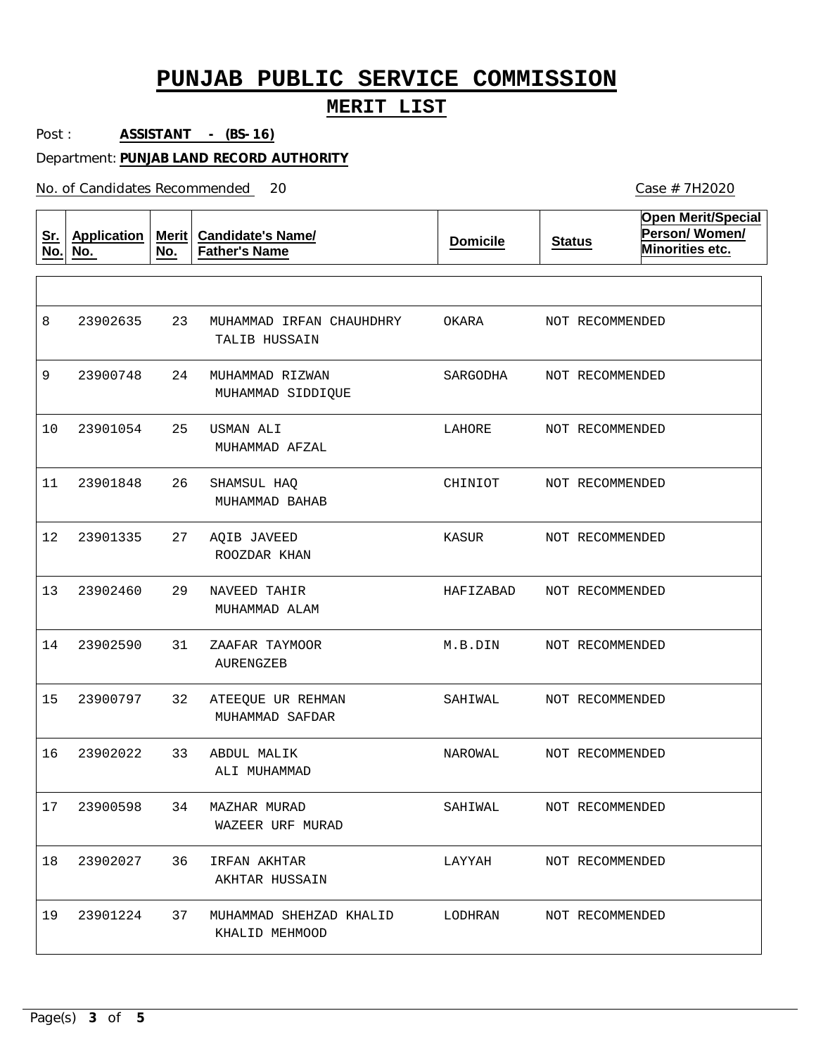#### **MERIT LIST**

Post : **ASSISTANT - (BS-16)**

Department: **PUNJAB LAND RECORD AUTHORITY**

No. of Candidates Recommended

**Sr. No. Application No. Merit No. Candidate's Name/ Father's Name Domicile Status Open Merit/Special Person/ Women/ Minorities etc.** 23 24 25 26 27 29 31 32 33 34 36 37 MUHAMMAD IRFAN CHAUHDHRY MUHAMMAD RIZWAN USMAN ALI SHAMSUL HAQ AQIB JAVEED NAVEED TAHIR ZAAFAR TAYMOOR ATEEQUE UR REHMAN ABDUL MALIK MAZHAR MURAD IRFAN AKHTAR MUHAMMAD SHEHZAD KHALID TALIB HUSSAIN MUHAMMAD SIDDIQUE MUHAMMAD AFZAL MUHAMMAD BAHAB ROOZDAR KHAN MUHAMMAD ALAM AURENGZEB MUHAMMAD SAFDAR ALI MUHAMMAD WAZEER URF MURAD AKHTAR HUSSAIN KHALID MEHMOOD 8 9 10 11 12 13 14 15 16 17 23900598 18 19 23902635 23900748 23901054 23901848 23901335 23902460 23902590 23900797 23902022 23902027 23901224 OKARA SARGODHA LAHORE CHINIOT KASUR HAFIZABAD M.B.DIN SAHIWAL NAROWAL SAHIWAL LAYYAH LODHRAN NOT RECOMMENDED NOT RECOMMENDED NOT RECOMMENDED NOT RECOMMENDED NOT RECOMMENDED NOT RECOMMENDED NOT RECOMMENDED NOT RECOMMENDED NOT RECOMMENDED NOT RECOMMENDED NOT RECOMMENDED NOT RECOMMENDED

20 Case # 7H2020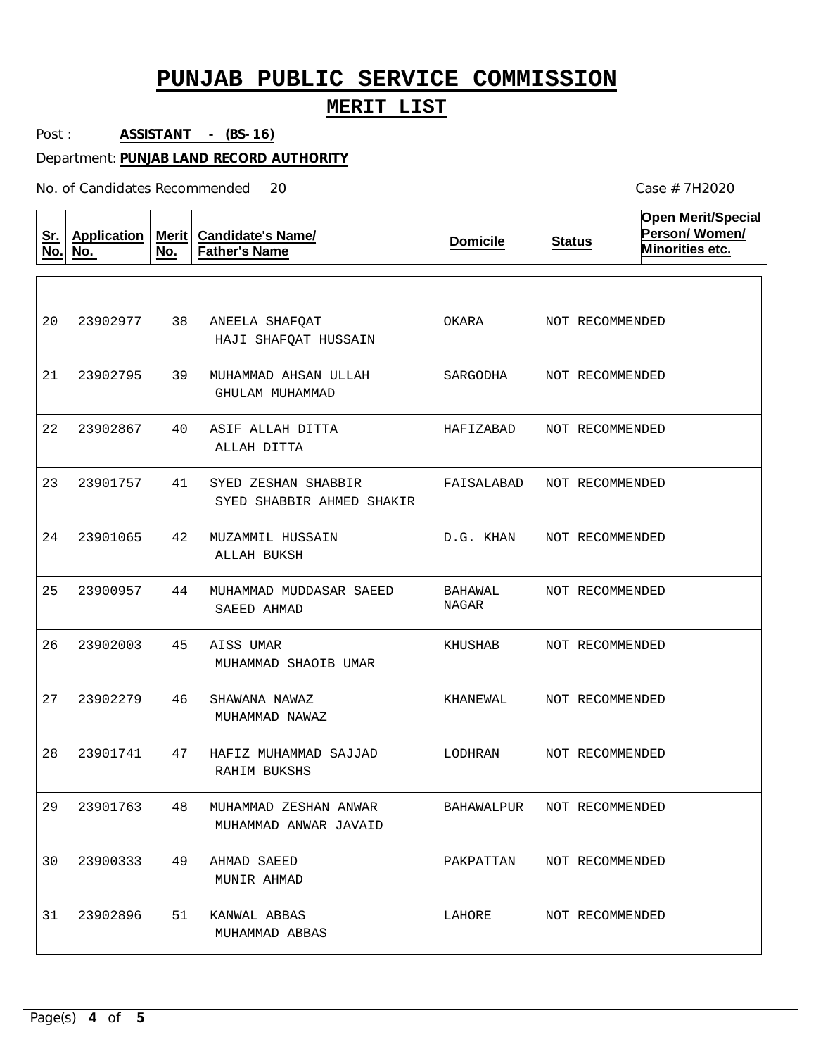#### **MERIT LIST**

Post : **ASSISTANT - (BS-16)**

Department: **PUNJAB LAND RECORD AUTHORITY**

No. of Candidates Recommended

| <u>Sr.</u><br>No. | <b>Application</b><br>No. | Merit $ $<br>No. | <b>Candidate's Name/</b><br><b>Father's Name</b> | <b>Domicile</b>  | <b>Status</b>   | <b>Open Merit/Special</b><br>Person/Women/<br>Minorities etc. |
|-------------------|---------------------------|------------------|--------------------------------------------------|------------------|-----------------|---------------------------------------------------------------|
|                   |                           |                  |                                                  |                  |                 |                                                               |
| 20                | 23902977                  | 38               | ANEELA SHAFQAT<br>HAJI SHAFQAT HUSSAIN           | OKARA            | NOT RECOMMENDED |                                                               |
| 21                | 23902795                  | 39               | MUHAMMAD AHSAN ULLAH<br>GHULAM MUHAMMAD          | SARGODHA         | NOT RECOMMENDED |                                                               |
| 22                | 23902867                  | 40               | ASIF ALLAH DITTA<br>ALLAH DITTA                  | HAFIZABAD        | NOT RECOMMENDED |                                                               |
| 23                | 23901757                  | 41               | SYED ZESHAN SHABBIR<br>SYED SHABBIR AHMED SHAKIR | FAISALABAD       | NOT RECOMMENDED |                                                               |
| 24                | 23901065                  | 42               | MUZAMMIL HUSSAIN<br>ALLAH BUKSH                  | D.G. KHAN        | NOT RECOMMENDED |                                                               |
| 25                | 23900957                  | 44               | MUHAMMAD MUDDASAR SAEED<br>SAEED AHMAD           | BAHAWAL<br>NAGAR | NOT RECOMMENDED |                                                               |
| 26                | 23902003                  | 45               | AISS UMAR<br>MUHAMMAD SHAOIB UMAR                | KHUSHAB          | NOT RECOMMENDED |                                                               |
| 27                | 23902279                  | 46               | SHAWANA NAWAZ<br>MUHAMMAD NAWAZ                  | KHANEWAL         | NOT RECOMMENDED |                                                               |
| 28                | 23901741                  | 47               | HAFIZ MUHAMMAD SAJJAD<br>RAHIM BUKSHS            | LODHRAN          | NOT RECOMMENDED |                                                               |
| 29                | 23901763                  | 48               | MUHAMMAD ZESHAN ANWAR<br>MUHAMMAD ANWAR JAVAID   | BAHAWALPUR       | NOT RECOMMENDED |                                                               |
| 30                | 23900333                  | 49               | AHMAD SAEED<br>MUNIR AHMAD                       | PAKPATTAN        | NOT RECOMMENDED |                                                               |
| 31                | 23902896                  | 51               | KANWAL ABBAS<br>MUHAMMAD ABBAS                   | LAHORE           | NOT RECOMMENDED |                                                               |

Case # 7H2020